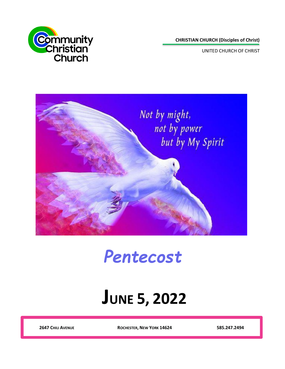Community<br>Christian<br>Church

**CHRISTIAN CHURCH (Disciples of Christ)**

**UNITED CHURCH OF CHRIST** 





# **JUNE 5, 2022**

**2647 CHILI AVENUE ROCHESTER, NEW YORK 14624 585.247.2494**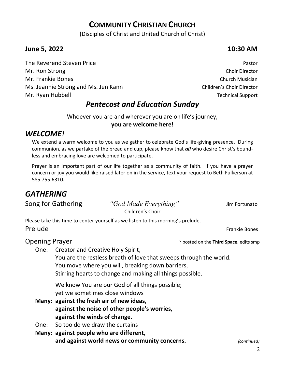# **COMMUNITY CHRISTIAN CHURCH**

(Disciples of Christ and United Church of Christ)

### **June 5, 2022 10:30 AM**

The Reverend Steven Price **Pastor** Pastor **Pastor** Mr. Ron Strong Choir Director Mr. Frankie Bones Church Musician Church Musician Church Musician Church Musician Ms. Jeannie Strong and Ms. Jen Kann Children's Choir Director Mr. Ryan Hubbell **Mr. Ryan Hubbell** Support

# *Pentecost and Education Sunday*

Whoever you are and wherever you are on life's journey, **you are welcome here!**

# *WELCOME!*

We extend a warm welcome to you as we gather to celebrate God's life-giving presence. During communion, as we partake of the bread and cup, please know that *all* who desire Christ's boundless and embracing love are welcomed to participate.

Prayer is an important part of our life together as a community of faith. If you have a prayer concern or joy you would like raised later on in the service, text your request to Beth Fulkerson at 585.755.6310.

# *GATHERING*

Song for Gathering *"God Made Everything"* Jim Fortunato Children's Choir

Please take this time to center yourself as we listen to this morning's prelude. Prelude Frankie Bones

**Opening Prayer COPEN 1989 COPEN 1989 COPEN 1989 COPEN 1999 COPEN 1999 COPEN 1999 COPEN 1999 COPEN 1999 COPEN 1999 COPEN 1999 COPEN 1999 COPEN 1999 COPEN 1999 COPEN 1999 COPEN 1999 COPEN 19** 

One: Creator and Creative Holy Spirit, You are the restless breath of love that sweeps through the world.

You move where you will, breaking down barriers,

Stirring hearts to change and making all things possible.

We know You are our God of all things possible; yet we sometimes close windows

- **Many: against the fresh air of new ideas, against the noise of other people's worries, against the winds of change.**
- One: So too do we draw the curtains
- **Many: against people who are different, and against world news or community concerns.** *(continued)*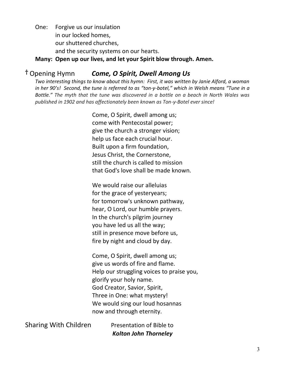One: Forgive us our insulation in our locked homes, our shuttered churches, and the security systems on our hearts.

#### **Many: Open up our lives, and let your Spirit blow through. Amen.**

## **†** Opening Hymn *Come, O Spirit, Dwell Among Us*

*Two interesting things to know about this hymn: First, it was written by Janie Alford, a woman in her 90's! Second, the tune is referred to as "ton-y-botel," which in Welsh means "Tune in a Bottle." The myth that the tune was discovered in a bottle on a beach in North Wales was published in 1902 and has affectionately been known as Ton-y-Botel ever since!*

> Come, O Spirit, dwell among us; come with Pentecostal power; give the church a stronger vision; help us face each crucial hour. Built upon a firm foundation, Jesus Christ, the Cornerstone, still the church is called to mission that God's love shall be made known.

We would raise our alleluias for the grace of yesteryears; for tomorrow's unknown pathway, hear, O Lord, our humble prayers. In the church's pilgrim journey you have led us all the way; still in presence move before us, fire by night and cloud by day.

Come, O Spirit, dwell among us; give us words of fire and flame. Help our struggling voices to praise you, glorify your holy name. God Creator, Savior, Spirit, Three in One: what mystery! We would sing our loud hosannas now and through eternity.

Sharing With Children Presentation of Bible to

*Kolton John Thorneley*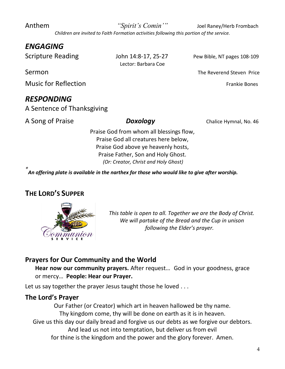Anthem *"Spirit's Comin'"* Joel Raney/Herb Frombach *Children are invited to Faith Formation activities following this portion of the service.*

# *ENGAGING*

Lector: Barbara Coe

Scripture Reading John 14:8-17, 25-27 Pew Bible, NT pages 108-109

**Music for Reflection** Frankie Bones

# *RESPONDING*

A Sentence of Thanksgiving

A Song of Praise *Doxology* Chalice Hymnal, No. 46

Sermon The Reverend Steven Price

Praise God from whom all blessings flow, Praise God all creatures here below, Praise God above ye heavenly hosts, Praise Father, Son and Holy Ghost. *(Or: Creator, Christ and Holy Ghost)*

*\* An offering plate is available in the narthex for those who would like to give after worship.*

# **THE LORD'S SUPPER**



*This table is open to all. Together we are the Body of Christ. We will partake of the Bread and the Cup in unison following the Elder's prayer.* 

# **Prayers for Our Community and the World**

**Hear now our community prayers.** After request… God in your goodness, grace or mercy… **People: Hear our Prayer.**

Let us say together the prayer Jesus taught those he loved . . .

# **The Lord's Prayer**

Our Father (or Creator) which art in heaven hallowed be thy name. Thy kingdom come, thy will be done on earth as it is in heaven. Give us this day our daily bread and forgive us our debts as we forgive our debtors. And lead us not into temptation, but deliver us from evil for thine is the kingdom and the power and the glory forever. Amen.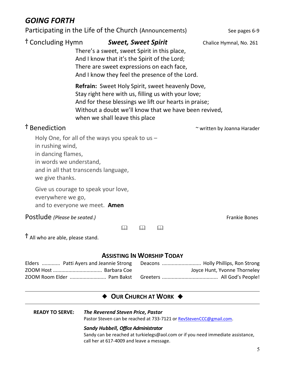|                                                                                      | <b>Sandy Hubbell, Office Administrator</b><br>Sandy can be reached at turkielegs@aol.com or if you need immediate assistance,<br>call her at 617-4009 and leave a message. |        |   |                              |
|--------------------------------------------------------------------------------------|----------------------------------------------------------------------------------------------------------------------------------------------------------------------------|--------|---|------------------------------|
| <b>READY TO SERVE:</b>                                                               | The Reverend Steven Price, Pastor<br>Pastor Steven can be reached at 733-7121 or RevStevenCCC@gmail.com.                                                                   |        |   |                              |
|                                                                                      | OUR CHURCH AT WORK 4                                                                                                                                                       |        |   |                              |
|                                                                                      |                                                                                                                                                                            |        |   |                              |
| ZOOM Host  Barbara Coe<br>ZOOM Room Elder  Pam Bakst                                 |                                                                                                                                                                            |        |   | Joyce Hunt, Yvonne Thorneley |
| Elders  Patti Ayers and Jeannie Strong                                               | <b>ASSISTING IN WORSHIP TODAY</b>                                                                                                                                          |        |   |                              |
| <sup>†</sup> All who are able, please stand.                                         |                                                                                                                                                                            |        |   |                              |
|                                                                                      | $\Box$                                                                                                                                                                     | $\Box$ | M |                              |
| Postlude (Please be seated.)                                                         |                                                                                                                                                                            |        |   | <b>Frankie Bones</b>         |
| everywhere we go,<br>and to everyone we meet. Amen                                   | Give us courage to speak your love,                                                                                                                                        |        |   |                              |
| in rushing wind,<br>in dancing flames,<br>in words we understand,<br>we give thanks. | riory Oric, for all of the ways you speak to us<br>and in all that transcends language,                                                                                    |        |   |                              |

#### **†** All who are able, please stand.

|  | Elders  Patti Ayers and Jeannie Strong Deacons  Holly Phillips, Ron Strong |
|--|----------------------------------------------------------------------------|
|  | Joyce Hunt, Yvonne Thorneley                                               |
|  |                                                                            |

#### **READY TO SERVE: The Reverent**

#### *Sandy Hubberl*

# *GOING FORTH*

Participating in the Life of the Church (Announcements) See pages 6-9

There's a sweet, sweet Spirit in this place, And I know that it's the Spirit of the Lord; There are sweet expressions on each face, And I know they feel the presence of the Lord. **Refrain:** Sweet Holy Spirit, sweet heavenly Dove, Stay right here with us, filling us with your love; And for these blessings we lift our hearts in praise; Without a doubt we'll know that we have been revived, when we shall leave this place **†** Benediction ~ written by Joanna Harader Holy One, for all of the ways you speak to us – in rushing wind, in dancing flames, in words we understand, and in all that transcends we give thanks. Give us courage to speak everywhere we go, and to everyone we meet.

**†** Concluding Hymn *Sweet, Sweet Spirit* Chalice Hymnal, No. 261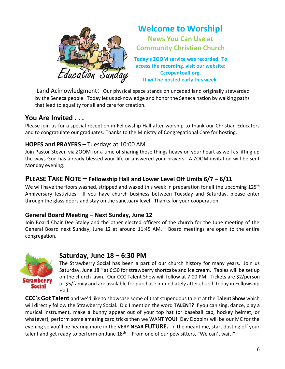

# **Welcome to Worship! News You Can Use at Community Christian Church**

**Today's ZOOM service was recorded. To access the recording, visit our website: Cccopentoall.org. It will be posted early this week.**

Land Acknowledgment:Our physical space stands on unceded land originally stewarded by the Seneca people. Today let us acknowledge and honor the Seneca nation by walking paths that lead to equality for all and care for creation.

#### **You Are Invited . . .**

Please join us for a special reception in Fellowship Hall after worship to thank our Christian Educators and to congratulate our graduates. Thanks to the Ministry of Congregational Care for hosting.

#### **HOPES and PRAYERS –** Tuesdays at 10:00 AM.

Join Pastor Steven via ZOOM for a time of sharing those things heavy on your heart as well as lifting up the ways God has already blessed your life or answered your prayers. A ZOOM invitation will be sent Monday evening.

### **PLEASE TAKE NOTE – Fellowship Hall and Lower Level Off Limits 6/7 – 6/11**

We will have the floors washed, stripped and waxed this week in preparation for all the upcoming 125<sup>th</sup> Anniversary festivities. If you have church business between Tuesday and Saturday, please enter through the glass doors and stay on the sanctuary level. Thanks for your cooperation.

#### **General Board Meeting – Next Sunday, June 12**

Join Board Chair Dee Staley and the other elected officers of the church for the June meeting of the General Board next Sunday, June 12 at around 11:45 AM. Board meetings are open to the entire congregation.



#### **Saturday, June 18 – 6:30 PM**

The Strawberry Social has been a part of our church history for many years. Join us Saturday, June  $18<sup>th</sup>$  at 6:30 for strawberry shortcake and ice cream. Tables will be set up on the church lawn. Our CCC Talent Show will follow at 7:00 PM. Tickets are \$2/person or \$5/family and are available for purchase immediately after church today in Fellowship Hall.

**CCC's Got Talent** and we'd like to showcase some of that stupendous talent at the **Talent Show** which will directly follow the Strawberry Social. Did I mention the word **TALENT?** If you can sing, dance, play a musical instrument, make a bunny appear out of your top hat (or baseball cap, hockey helmet, or whatever), perform some amazing card tricks then we WANT **YOU!** Dav Dobbins will be our MC for the evening so you'll be hearing more in the VERY **NEAR FUTURE.** In the meantime, start dusting off your talent and get ready to perform on June  $18<sup>th</sup>$ ! From one of our pew sitters, "We can't wait!"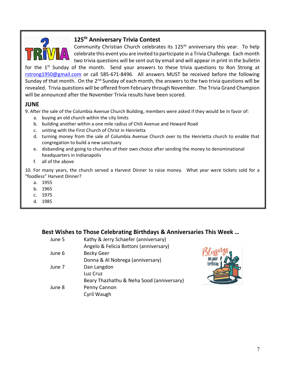

#### **125th Anniversary Trivia Contest**

Community Christian Church celebrates its 125<sup>th</sup> anniversary this year. To help celebrate this event you are invited to participate in a Trivia Challenge. Each month two trivia questions will be sent out by email and will appear in print in the bulletin

for the  $1^{st}$  Sunday of the month. Send your answers to these trivia questions to Ron Strong at [rstrong1950@gmail.com](mailto:rstrong1950@gmail.com) or call 585-671-8496. All answers MUST be received before the following Sunday of that month. On the 2<sup>nd</sup> Sunday of each month, the answers to the two trivia questions will be revealed. Trivia questions will be offered from February through November. The Trivia Grand Champion will be announced after the November Trivia results have been scored.

#### **JUNE**

9. After the sale of the Columbia Avenue Church Building, members were asked if they would be in favor of:

- a. buying an old church within the city limits
- b. building another within a one mile radius of Chili Avenue and Howard Road
- c. uniting with the First Church of Christ in Henrietta
- d. turning money from the sale of Columbia Avenue Church over to the Henrietta church to enable that congregation to build a new sanctuary
- e. disbanding and going to churches of their own choice after sending the money to denominational headquarters in Indianapolis
- f. all of the above

10. For many years, the church served a Harvest Dinner to raise money. What year were tickets sold for a "foodless" Harvest Dinner?

- a. 1955
- b. 1965
- c. 1975
- d. 1985

#### **Best Wishes to Those Celebrating Birthdays & Anniversaries This Week …**

| June 5 | Kathy & Jerry Schaefer (anniversary)      |
|--------|-------------------------------------------|
|        | Angelo & Felicia Bottoni (anniversary)    |
| June 6 | <b>Becky Geer</b>                         |
|        | Donna & Al Nobrega (anniversary)          |
| June 7 | Dan Langdon                               |
|        | Luz Cruz                                  |
|        | Beary Thazhathu & Neha Sood (anniversary) |
| June 8 | Penny Cannon                              |
|        | Cyril Waugh                               |

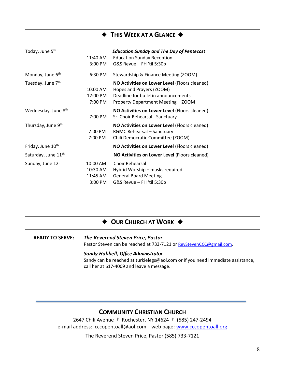### ◆ THIS WEEK AT A GLANCE ◆

| Today, June 5 <sup>th</sup>     |           | <b>Education Sunday and The Day of Pentecost</b> |
|---------------------------------|-----------|--------------------------------------------------|
|                                 | 11:40 AM  | <b>Education Sunday Reception</b>                |
|                                 | 3:00 PM   | G&S Revue - FH 'til 5:30p                        |
| Monday, June 6 <sup>th</sup>    | 6:30 PM   | Stewardship & Finance Meeting (ZOOM)             |
| Tuesday, June 7 <sup>th</sup>   |           | NO Activities on Lower Level (Floors cleaned)    |
|                                 | 10:00 AM  | Hopes and Prayers (ZOOM)                         |
|                                 | 12:00 PM  | Deadline for bulletin announcements              |
|                                 | 7:00 PM   | Property Department Meeting - ZOOM               |
| Wednesday, June 8th             |           | NO Activities on Lower Level (Floors cleaned)    |
|                                 | 7:00 PM   | Sr. Choir Rehearsal - Sanctuary                  |
| Thursday, June 9th              |           | NO Activities on Lower Level (Floors cleaned)    |
|                                 | 7:00 PM   | RGMC Rehearsal - Sanctuary                       |
|                                 | 7:00 PM   | Chili Democratic Committee (ZOOM)                |
| Friday, June 10th               |           | NO Activities on Lower Level (Floors cleaned)    |
| Saturday, June 11 <sup>th</sup> |           | NO Activities on Lower Level (Floors cleaned)    |
| Sunday, June 12th               | 10:00 AM  | <b>Choir Rehearsal</b>                           |
|                                 | 10:30 AM  | Hybrid Worship - masks required                  |
|                                 | 11:45 AM  | <b>General Board Meeting</b>                     |
|                                 | $3:00$ PM | G&S Revue - FH 'til 5:30p                        |

#### ◆ OUR CHURCH AT WORK ◆

#### **READY TO SERVE:** *The Reverend Steven Price, Pastor*

Pastor Steven can be reached at 733-7121 or [RevStevenCCC@gmail.com.](mailto:RevStevenCCC@gmail.com)

#### *Sandy Hubbell, Office Administrator*

Sandy can be reached at turkielegs@aol.com or if you need immediate assistance, call her at 617-4009 and leave a message.

#### **COMMUNITY CHRISTIAN CHURCH**

2647 Chili Avenue **†** Rochester, NY 14624 **†** (585) 247-2494 e-mail address: cccopentoall@aol.com web page: www.cccopentoall.org

The Reverend Steven Price, Pastor (585) 733-7121